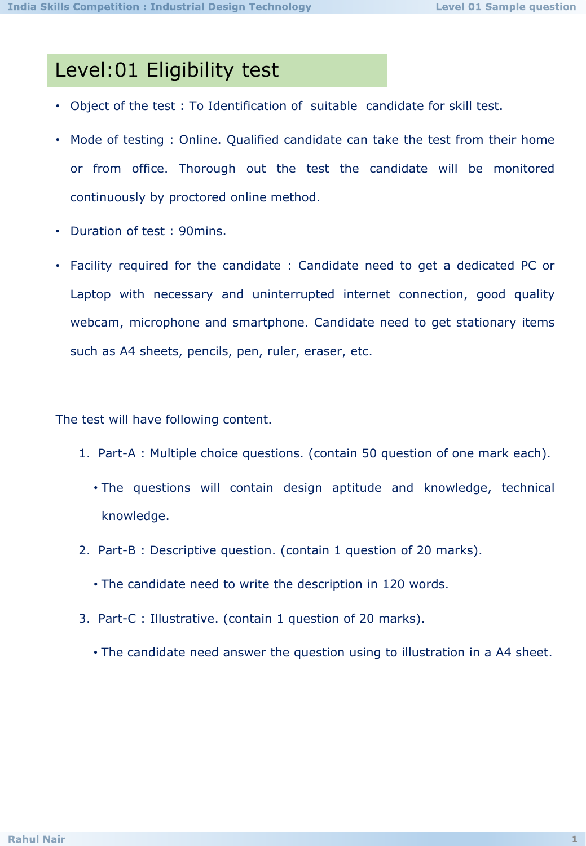## Level:01 Eligibility test

- Object of the test : To Identification of suitable candidate for skill test.
- Mode of testing : Online. Qualified candidate can take the test from their home or from office. Thorough out the test the candidate will be monitored continuously by proctored online method.
- Duration of test : 90mins.
- Facility required for the candidate : Candidate need to get a dedicated PC or Laptop with necessary and uninterrupted internet connection, good quality webcam, microphone and smartphone. Candidate need to get stationary items such as A4 sheets, pencils, pen, ruler, eraser, etc.

The test will have following content.

- 1. Part-A : Multiple choice questions. (contain 50 question of one mark each).
	- The questions will contain design aptitude and knowledge, technical knowledge.
- 2. Part-B : Descriptive question. (contain 1 question of 20 marks).
	- The candidate need to write the description in 120 words.
- 3. Part-C : Illustrative. (contain 1 question of 20 marks).
	- The candidate need answer the question using to illustration in a A4 sheet.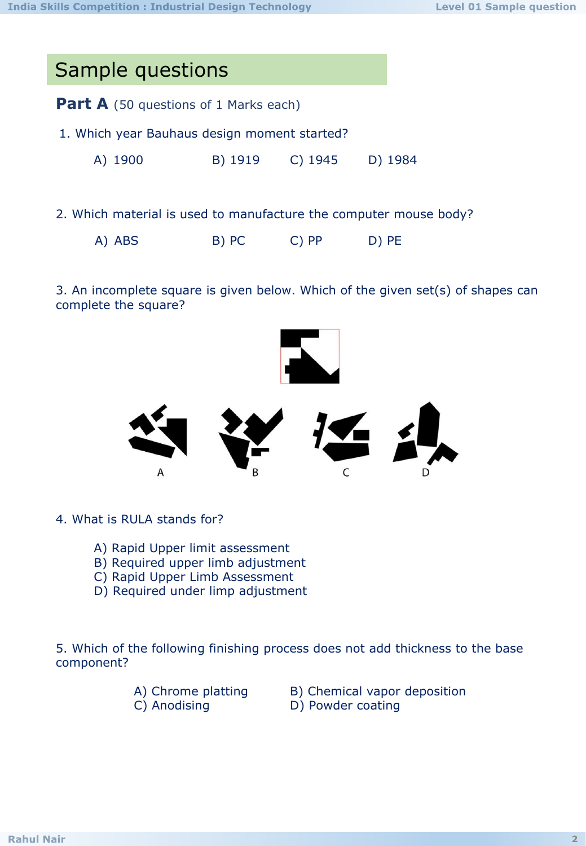| Sample questions                                                  |         |           |         |
|-------------------------------------------------------------------|---------|-----------|---------|
| <b>Part A</b> (50 questions of 1 Marks each)                      |         |           |         |
| 1. Which year Bauhaus design moment started?                      |         |           |         |
| A) 1900                                                           | B) 1919 | $C)$ 1945 | D) 1984 |
|                                                                   |         |           |         |
| 2. Which material is used to manufacture the computer mouse body? |         |           |         |
| A) ABS                                                            | B) PC   | $C)$ PP   | D) PE   |

3. An incomplete square is given below. Which of the given set(s) of shapes can complete the square?



- 4. What is RULA stands for?
	- A) Rapid Upper limit assessment
	- B) Required upper limb adjustment
	- C) Rapid Upper Limb Assessment
	- D) Required under limp adjustment

5. Which of the following finishing process does not add thickness to the base component?

- 
- A) Chrome platting B) Chemical vapor deposition
- C) Anodising D) Powder coating